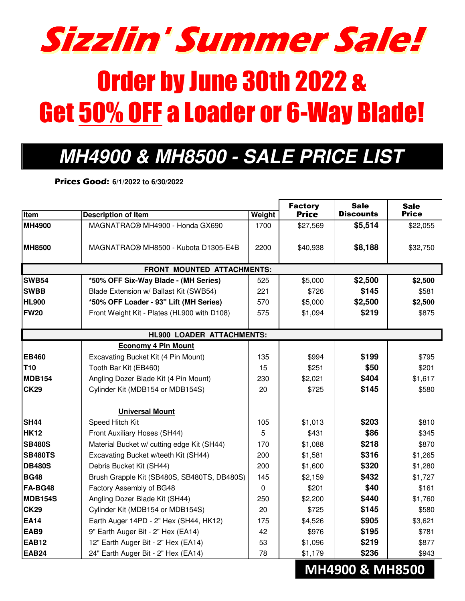

## **MH4900 & MH8500 - SALE PRICE LIST**

**Prices Good: 6/1/2022 to 6/30/2022**

|                                   |                                             |        | <b>Factory</b> | <b>Sale</b>      | <b>Sale</b>  |  |  |  |
|-----------------------------------|---------------------------------------------|--------|----------------|------------------|--------------|--|--|--|
| Item                              | <b>Description of Item</b>                  | Weight | <b>Price</b>   | <b>Discounts</b> | <b>Price</b> |  |  |  |
| <b>MH4900</b>                     | MAGNATRAC® MH4900 - Honda GX690             | 1700   | \$27,569       | \$5,514          | \$22,055     |  |  |  |
| <b>MH8500</b>                     | MAGNATRAC® MH8500 - Kubota D1305-E4B        | 2200   | \$40,938       | \$8,188          | \$32,750     |  |  |  |
| <b>FRONT MOUNTED ATTACHMENTS:</b> |                                             |        |                |                  |              |  |  |  |
| <b>SWB54</b>                      | *50% OFF Six-Way Blade - (MH Series)        | 525    | \$5,000        | \$2,500          | \$2,500      |  |  |  |
| <b>SWBB</b>                       | Blade Extension w/ Ballast Kit (SWB54)      | 221    | \$726          | \$145            | \$581        |  |  |  |
| <b>HL900</b>                      | *50% OFF Loader - 93" Lift (MH Series)      | 570    | \$5,000        | \$2,500          | \$2,500      |  |  |  |
| <b>FW20</b>                       | Front Weight Kit - Plates (HL900 with D108) | 575    | \$1,094        | \$219            | \$875        |  |  |  |
| <b>HL900 LOADER ATTACHMENTS:</b>  |                                             |        |                |                  |              |  |  |  |
|                                   | <b>Economy 4 Pin Mount</b>                  |        |                |                  |              |  |  |  |
| <b>EB460</b>                      | Excavating Bucket Kit (4 Pin Mount)         | 135    | \$994          | \$199            | \$795        |  |  |  |
| T10                               | Tooth Bar Kit (EB460)                       | 15     | \$251          | \$50             | \$201        |  |  |  |
| <b>MDB154</b>                     | Angling Dozer Blade Kit (4 Pin Mount)       | 230    | \$2,021        | \$404            | \$1,617      |  |  |  |
| <b>CK29</b>                       | Cylinder Kit (MDB154 or MDB154S)            | 20     | \$725          | \$145            | \$580        |  |  |  |
|                                   | <b>Universal Mount</b>                      |        |                |                  |              |  |  |  |
| SH <sub>44</sub>                  | Speed Hitch Kit                             | 105    | \$1,013        | \$203            | \$810        |  |  |  |
| <b>HK12</b>                       | Front Auxiliary Hoses (SH44)                | 5      | \$431          | \$86             | \$345        |  |  |  |
| <b>SB480S</b>                     | Material Bucket w/ cutting edge Kit (SH44)  | 170    | \$1,088        | \$218            | \$870        |  |  |  |
| <b>SB480TS</b>                    | Excavating Bucket w/teeth Kit (SH44)        | 200    | \$1,581        | \$316            | \$1,265      |  |  |  |
| <b>DB480S</b>                     | Debris Bucket Kit (SH44)                    | 200    | \$1,600        | \$320            | \$1,280      |  |  |  |
| <b>BG48</b>                       | Brush Grapple Kit (SB480S, SB480TS, DB480S) | 145    | \$2,159        | \$432            | \$1,727      |  |  |  |
| FA-BG48                           | Factory Assembly of BG48                    | 0      | \$201          | \$40             | \$161        |  |  |  |
| <b>MDB154S</b>                    | Angling Dozer Blade Kit (SH44)              | 250    | \$2,200        | \$440            | \$1,760      |  |  |  |
| <b>CK29</b>                       | Cylinder Kit (MDB154 or MDB154S)            | 20     | \$725          | \$145            | \$580        |  |  |  |
| <b>EA14</b>                       | Earth Auger 14PD - 2" Hex (SH44, HK12)      | 175    | \$4,526        | \$905            | \$3,621      |  |  |  |
| EAB9                              | 9" Earth Auger Bit - 2" Hex (EA14)          | 42     | \$976          | \$195            | \$781        |  |  |  |
| <b>EAB12</b>                      | 12" Earth Auger Bit - 2" Hex (EA14)         | 53     | \$1,096        | \$219            | \$877        |  |  |  |
| <b>EAB24</b>                      | 24" Earth Auger Bit - 2" Hex (EA14)         | 78     | \$1,179        | \$236            | \$943        |  |  |  |

## **MH4900 & MH8500**